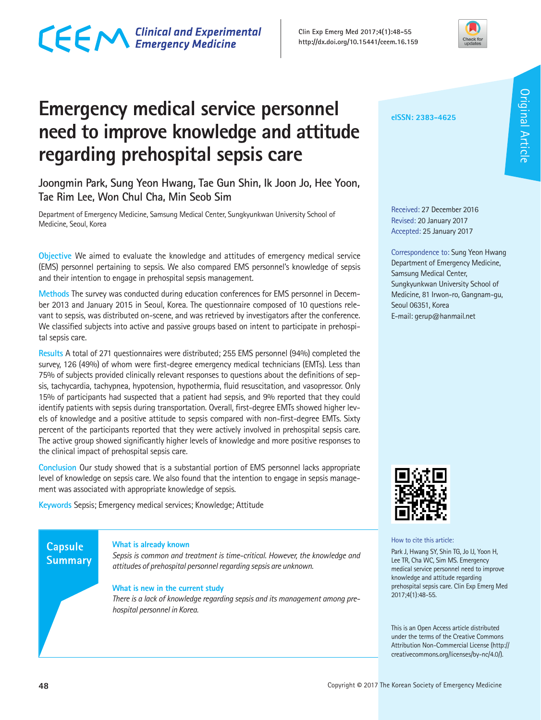## CECM Clinical and Experimental



### **Emergency medical service personnel need to improve knowledge and attitude regarding prehospital sepsis care**

**Joongmin Park, Sung Yeon Hwang, Tae Gun Shin, Ik Joon Jo, Hee Yoon, Tae Rim Lee, Won Chul Cha, Min Seob Sim** 

Department of Emergency Medicine, Samsung Medical Center, Sungkyunkwan University School of Medicine, Seoul, Korea

**Objective** We aimed to evaluate the knowledge and attitudes of emergency medical service (EMS) personnel pertaining to sepsis. We also compared EMS personnel's knowledge of sepsis and their intention to engage in prehospital sepsis management.

**Methods** The survey was conducted during education conferences for EMS personnel in December 2013 and January 2015 in Seoul, Korea. The questionnaire composed of 10 questions relevant to sepsis, was distributed on-scene, and was retrieved by investigators after the conference. We classified subjects into active and passive groups based on intent to participate in prehospital sepsis care.

**Results** A total of 271 questionnaires were distributed; 255 EMS personnel (94%) completed the survey, 126 (49%) of whom were first-degree emergency medical technicians (EMTs). Less than 75% of subjects provided clinically relevant responses to questions about the definitions of sepsis, tachycardia, tachypnea, hypotension, hypothermia, fluid resuscitation, and vasopressor. Only 15% of participants had suspected that a patient had sepsis, and 9% reported that they could identify patients with sepsis during transportation. Overall, first-degree EMTs showed higher levels of knowledge and a positive attitude to sepsis compared with non-first-degree EMTs. Sixty percent of the participants reported that they were actively involved in prehospital sepsis care. The active group showed significantly higher levels of knowledge and more positive responses to the clinical impact of prehospital sepsis care.

**Conclusion** Our study showed that is a substantial portion of EMS personnel lacks appropriate level of knowledge on sepsis care. We also found that the intention to engage in sepsis management was associated with appropriate knowledge of sepsis.

**Keywords** Sepsis; Emergency medical services; Knowledge; Attitude

### **Capsule Summary**

### **What is already known**

*Sepsis is common and treatment is time-critical. However, the knowledge and attitudes of prehospital personnel regarding sepsis are unknown.* 

### **What is new in the current study**

*There is a lack of knowledge regarding sepsis and its management among prehospital personnel in Korea.* 

**eISSN: 2383-4625**

Received: 27 December 2016 Revised: 20 January 2017 Accepted: 25 January 2017

Correspondence to: Sung Yeon Hwang Department of Emergency Medicine, Samsung Medical Center, Sungkyunkwan University School of Medicine, 81 Irwon-ro, Gangnam-gu, Seoul 06351, Korea E-mail: gerup@hanmail.net



How to cite this article:

Park J, Hwang SY, Shin TG, Jo IJ, Yoon H, Lee TR, Cha WC, Sim MS. Emergency medical service personnel need to improve knowledge and attitude regarding prehospital sepsis care. Clin Exp Emerg Med 2017;4(1):48-55.

This is an Open Access article distributed under the terms of the Creative Commons Attribution Non-Commercial License (http:// creativecommons.org/licenses/by-nc/4.0/).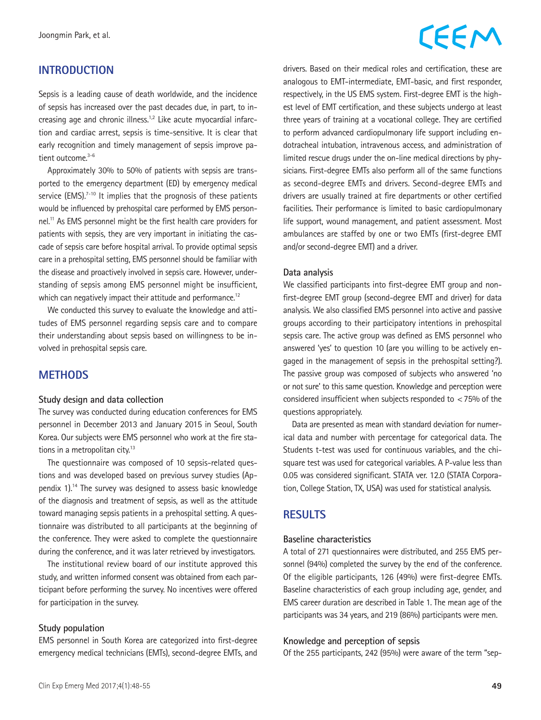### **INTRODUCTION**

Sepsis is a leading cause of death worldwide, and the incidence of sepsis has increased over the past decades due, in part, to increasing age and chronic illness.<sup>1,2</sup> Like acute myocardial infarction and cardiac arrest, sepsis is time-sensitive. It is clear that early recognition and timely management of sepsis improve patient outcome.<sup>3-6</sup>

Approximately 30% to 50% of patients with sepsis are transported to the emergency department (ED) by emergency medical service  $(EMS).<sup>7-10</sup>$  It implies that the prognosis of these patients would be influenced by prehospital care performed by EMS personnel.11 As EMS personnel might be the first health care providers for patients with sepsis, they are very important in initiating the cascade of sepsis care before hospital arrival. To provide optimal sepsis care in a prehospital setting, EMS personnel should be familiar with the disease and proactively involved in sepsis care. However, understanding of sepsis among EMS personnel might be insufficient, which can negatively impact their attitude and performance.<sup>12</sup>

We conducted this survey to evaluate the knowledge and attitudes of EMS personnel regarding sepsis care and to compare their understanding about sepsis based on willingness to be involved in prehospital sepsis care.

### **METHODS**

### **Study design and data collection**

The survey was conducted during education conferences for EMS personnel in December 2013 and January 2015 in Seoul, South Korea. Our subjects were EMS personnel who work at the fire stations in a metropolitan city.<sup>13</sup>

The questionnaire was composed of 10 sepsis-related questions and was developed based on previous survey studies (Appendix 1).14 The survey was designed to assess basic knowledge of the diagnosis and treatment of sepsis, as well as the attitude toward managing sepsis patients in a prehospital setting. A questionnaire was distributed to all participants at the beginning of the conference. They were asked to complete the questionnaire during the conference, and it was later retrieved by investigators.

The institutional review board of our institute approved this study, and written informed consent was obtained from each participant before performing the survey. No incentives were offered for participation in the survey.

### **Study population**

EMS personnel in South Korea are categorized into first-degree emergency medical technicians (EMTs), second-degree EMTs, and

### CEEM

drivers. Based on their medical roles and certification, these are analogous to EMT-intermediate, EMT-basic, and first responder, respectively, in the US EMS system. First-degree EMT is the highest level of EMT certification, and these subjects undergo at least three years of training at a vocational college. They are certified to perform advanced cardiopulmonary life support including endotracheal intubation, intravenous access, and administration of limited rescue drugs under the on-line medical directions by physicians. First-degree EMTs also perform all of the same functions as second-degree EMTs and drivers. Second-degree EMTs and drivers are usually trained at fire departments or other certified facilities. Their performance is limited to basic cardiopulmonary life support, wound management, and patient assessment. Most ambulances are staffed by one or two EMTs (first-degree EMT and/or second-degree EMT) and a driver.

### **Data analysis**

We classified participants into first-degree EMT group and nonfirst-degree EMT group (second-degree EMT and driver) for data analysis. We also classified EMS personnel into active and passive groups according to their participatory intentions in prehospital sepsis care. The active group was defined as EMS personnel who answered 'yes' to question 10 (are you willing to be actively engaged in the management of sepsis in the prehospital setting?). The passive group was composed of subjects who answered 'no or not sure' to this same question. Knowledge and perception were considered insufficient when subjects responded to <75% of the questions appropriately.

Data are presented as mean with standard deviation for numerical data and number with percentage for categorical data. The Students t-test was used for continuous variables, and the chisquare test was used for categorical variables. A P-value less than 0.05 was considered significant. STATA ver. 12.0 (STATA Corporation, College Station, TX, USA) was used for statistical analysis.

### **RESULTS**

### **Baseline characteristics**

A total of 271 questionnaires were distributed, and 255 EMS personnel (94%) completed the survey by the end of the conference. Of the eligible participants, 126 (49%) were first-degree EMTs. Baseline characteristics of each group including age, gender, and EMS career duration are described in Table 1. The mean age of the participants was 34 years, and 219 (86%) participants were men.

### **Knowledge and perception of sepsis**

Of the 255 participants, 242 (95%) were aware of the term "sep-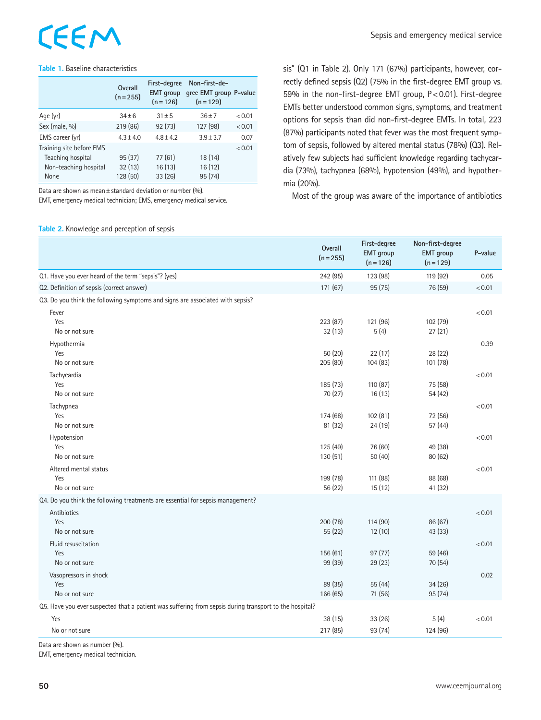# EEM

### **Table 1.** Baseline characteristics

|                                                                                | Overall<br>$(n = 255)$       | First-degree<br><b>EMT</b> group<br>$(n = 126)$ | Non-first-de-<br>gree EMT group P-value<br>$(n = 129)$ |        |
|--------------------------------------------------------------------------------|------------------------------|-------------------------------------------------|--------------------------------------------------------|--------|
| Age (yr)                                                                       | $34 + 6$                     | $31 + 5$                                        | $36 + 7$                                               | < 0.01 |
| Sex (male, %)                                                                  | 219 (86)                     | 92(73)                                          | 127 (98)                                               | < 0.01 |
| EMS career (yr)                                                                | $4.3 \pm 4.0$                | $4.8 \pm 4.2$                                   | $3.9 \pm 3.7$                                          | 0.07   |
| Training site before EMS<br>Teaching hospital<br>Non-teaching hospital<br>None | 95(37)<br>32(13)<br>128 (50) | 77(61)<br>16(13)<br>33(26)                      | 18(14)<br>16 (12)<br>95 (74)                           | < 0.01 |

Data are shown as mean±standard deviation or number (%).

EMT, emergency medical technician; EMS, emergency medical service.

**Table 2.** Knowledge and perception of sepsis

sis" (Q1 in Table 2). Only 171 (67%) participants, however, correctly defined sepsis (Q2) (75% in the first-degree EMT group vs. 59% in the non-first-degree EMT group, P<0.01). First-degree EMTs better understood common signs, symptoms, and treatment options for sepsis than did non-first-degree EMTs. In total, 223 (87%) participants noted that fever was the most frequent symptom of sepsis, followed by altered mental status (78%) (Q3). Relatively few subjects had sufficient knowledge regarding tachycardia (73%), tachypnea (68%), hypotension (49%), and hypothermia (20%).

Most of the group was aware of the importance of antibiotics

|                                                                                                        | Overall<br>$(n = 255)$ | First-degree<br><b>EMT</b> group<br>$(n = 126)$ | Non-first-degree<br><b>EMT</b> group<br>$(n = 129)$ | P-value |
|--------------------------------------------------------------------------------------------------------|------------------------|-------------------------------------------------|-----------------------------------------------------|---------|
| Q1. Have you ever heard of the term "sepsis"? (yes)                                                    | 242 (95)               | 123 (98)                                        | 119 (92)                                            | 0.05    |
| Q2. Definition of sepsis (correct answer)                                                              | 171 (67)               | 95(75)                                          | 76 (59)                                             | < 0.01  |
| Q3. Do you think the following symptoms and signs are associated with sepsis?                          |                        |                                                 |                                                     |         |
| Fever                                                                                                  |                        |                                                 |                                                     | < 0.01  |
| Yes                                                                                                    | 223 (87)               | 121 (96)                                        | 102 (79)                                            |         |
| No or not sure                                                                                         | 32(13)                 | 5(4)                                            | 27(21)                                              |         |
| Hypothermia                                                                                            |                        |                                                 |                                                     | 0.39    |
| Yes<br>No or not sure                                                                                  | 50 (20)<br>205 (80)    | 22(17)<br>104(83)                               | 28 (22)<br>101 (78)                                 |         |
| Tachycardia                                                                                            |                        |                                                 |                                                     | < 0.01  |
| Yes                                                                                                    | 185 (73)               | 110 (87)                                        | 75 (58)                                             |         |
| No or not sure                                                                                         | 70 (27)                | 16(13)                                          | 54 (42)                                             |         |
| Tachypnea                                                                                              |                        |                                                 |                                                     | < 0.01  |
| Yes                                                                                                    | 174 (68)               | 102(81)                                         | 72 (56)                                             |         |
| No or not sure                                                                                         | 81 (32)                | 24(19)                                          | 57 (44)                                             |         |
| Hypotension                                                                                            |                        |                                                 |                                                     | < 0.01  |
| Yes                                                                                                    | 125 (49)               | 76 (60)                                         | 49 (38)                                             |         |
| No or not sure                                                                                         | 130(51)                | 50(40)                                          | 80 (62)                                             |         |
| Altered mental status                                                                                  |                        |                                                 |                                                     | < 0.01  |
| Yes<br>No or not sure                                                                                  | 199 (78)<br>56 (22)    | 111 (88)<br>15(12)                              | 88 (68)<br>41 (32)                                  |         |
| Q4. Do you think the following treatments are essential for sepsis management?                         |                        |                                                 |                                                     |         |
| Antibiotics                                                                                            |                        |                                                 |                                                     | < 0.01  |
| Yes                                                                                                    | 200 (78)               | 114(90)                                         | 86 (67)                                             |         |
| No or not sure                                                                                         | 55 (22)                | 12(10)                                          | 43 (33)                                             |         |
| Fluid resuscitation                                                                                    |                        |                                                 |                                                     | < 0.01  |
| Yes                                                                                                    | 156 (61)               | 97(77)                                          | 59 (46)                                             |         |
| No or not sure                                                                                         | 99 (39)                | 29 (23)                                         | 70 (54)                                             |         |
| Vasopressors in shock                                                                                  |                        |                                                 |                                                     | 0.02    |
| Yes                                                                                                    | 89 (35)                | 55 (44)                                         | 34(26)                                              |         |
| No or not sure                                                                                         | 166 (65)               | 71 (56)                                         | 95 (74)                                             |         |
| Q5. Have you ever suspected that a patient was suffering from sepsis during transport to the hospital? |                        |                                                 |                                                     |         |
| Yes                                                                                                    | 38 (15)                | 33 (26)                                         | 5(4)                                                | < 0.01  |
| No or not sure                                                                                         | 217 (85)               | 93 (74)                                         | 124 (96)                                            |         |

Data are shown as number (%).

EMT, emergency medical technician.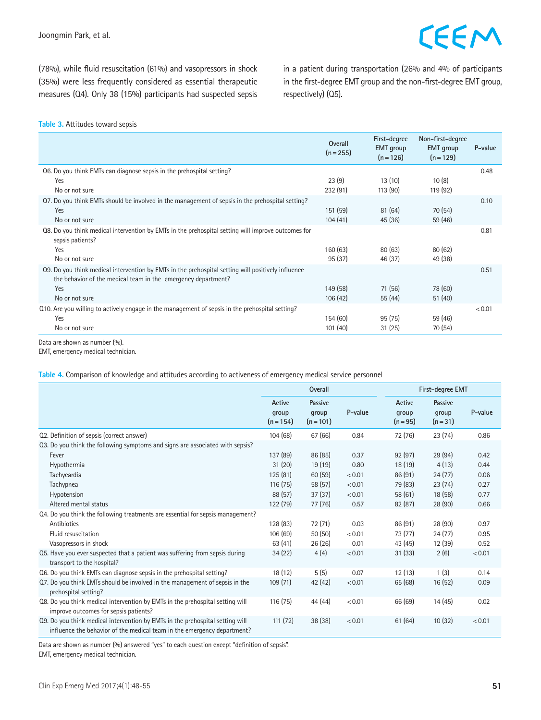(78%), while fluid resuscitation (61%) and vasopressors in shock (35%) were less frequently considered as essential therapeutic measures (Q4). Only 38 (15%) participants had suspected sepsis in a patient during transportation (26% and 4% of participants in the first-degree EMT group and the non-first-degree EMT group, respectively) (Q5).

#### **Table 3.** Attitudes toward sepsis

|                                                                                                                                                                                              | Overall<br>$(n = 255)$ | First-degree<br><b>EMT</b> group<br>$(n=126)$ | Non-first-degree<br><b>EMT</b> group<br>$(n=129)$ | P-value |
|----------------------------------------------------------------------------------------------------------------------------------------------------------------------------------------------|------------------------|-----------------------------------------------|---------------------------------------------------|---------|
| Q6. Do you think EMTs can diagnose sepsis in the prehospital setting?<br>Yes<br>No or not sure                                                                                               | 23(9)<br>232(91)       | 13(10)<br>113 (90)                            | 10(8)<br>119(92)                                  | 0.48    |
| Q7. Do you think EMTs should be involved in the management of sepsis in the prehospital setting?<br>Yes<br>No or not sure                                                                    | 151(59)<br>104(41)     | 81(64)<br>45(36)                              | 70 (54)<br>59 (46)                                | 0.10    |
| Q8. Do you think medical intervention by EMTs in the prehospital setting will improve outcomes for<br>sepsis patients?<br>Yes<br>No or not sure                                              | 160(63)<br>95(37)      | 80(63)<br>46 (37)                             | 80(62)<br>49 (38)                                 | 0.81    |
| Q9. Do you think medical intervention by EMTs in the prehospital setting will positively influence<br>the behavior of the medical team in the emergency department?<br>Yes<br>No or not sure | 149(58)<br>106(42)     | 71 (56)<br>55(44)                             | 78 (60)<br>51(40)                                 | 0.51    |
| Q10. Are you willing to actively engage in the management of sepsis in the prehospital setting?<br>Yes<br>No or not sure                                                                     | 154 (60)<br>101(40)    | 95(75)<br>31(25)                              | 59 (46)<br>70 (54)                                | < 0.01  |

Data are shown as number (%).

EMT, emergency medical technician.

**Table 4.** Comparison of knowledge and attitudes according to activeness of emergency medical service personnel

|                                                                                                                                                          | <b>Overall</b>                 |                                 |         | First-degree EMT              |                              |         |
|----------------------------------------------------------------------------------------------------------------------------------------------------------|--------------------------------|---------------------------------|---------|-------------------------------|------------------------------|---------|
|                                                                                                                                                          | Active<br>qroup<br>$(n = 154)$ | Passive<br>group<br>$(n = 101)$ | P-value | Active<br>group<br>$(n = 95)$ | Passive<br>group<br>$(n=31)$ | P-value |
| Q2. Definition of sepsis (correct answer)                                                                                                                | 104(68)                        | 67 (66)                         | 0.84    | 72 (76)                       | 23(74)                       | 0.86    |
| Q3. Do you think the following symptoms and signs are associated with sepsis?                                                                            |                                |                                 |         |                               |                              |         |
| Fever                                                                                                                                                    | 137 (89)                       | 86 (85)                         | 0.37    | 92(97)                        | 29 (94)                      | 0.42    |
| Hypothermia                                                                                                                                              | 31(20)                         | 19(19)                          | 0.80    | 18 (19)                       | 4(13)                        | 0.44    |
| Tachycardia                                                                                                                                              | 125 (81)                       | 60(59)                          | < 0.01  | 86 (91)                       | 24(77)                       | 0.06    |
| Tachypnea                                                                                                                                                | 116(75)                        | 58 (57)                         | < 0.01  | 79 (83)                       | 23(74)                       | 0.27    |
| Hypotension                                                                                                                                              | 88 (57)                        | 37(37)                          | < 0.01  | 58(61)                        | 18 (58)                      | 0.77    |
| Altered mental status                                                                                                                                    | 122 (79)                       | 77 (76)                         | 0.57    | 82(87)                        | 28(90)                       | 0.66    |
| Q4. Do you think the following treatments are essential for sepsis management?                                                                           |                                |                                 |         |                               |                              |         |
| Antibiotics                                                                                                                                              | 128 (83)                       | 72 (71)                         | 0.03    | 86 (91)                       | 28 (90)                      | 0.97    |
| Fluid resuscitation                                                                                                                                      | 106(69)                        | 50(50)                          | < 0.01  | 73 (77)                       | 24(77)                       | 0.95    |
| Vasopressors in shock                                                                                                                                    | 63(41)                         | 26(26)                          | 0.01    | 43 (45)                       | 12 (39)                      | 0.52    |
| Q5. Have you ever suspected that a patient was suffering from sepsis during<br>transport to the hospital?                                                | 34(22)                         | 4(4)                            | < 0.01  | 31(33)                        | 2(6)                         | < 0.01  |
| Q6. Do you think EMTs can diagnose sepsis in the prehospital setting?                                                                                    | 18(12)                         | 5(5)                            | 0.07    | 12(13)                        | 1(3)                         | 0.14    |
| Q7. Do you think EMTs should be involved in the management of sepsis in the<br>prehospital setting?                                                      | 109(71)                        | 42 (42)                         | < 0.01  | 65(68)                        | 16(52)                       | 0.09    |
| Q8. Do you think medical intervention by EMTs in the prehospital setting will<br>improve outcomes for sepsis patients?                                   | 116(75)                        | 44 (44)                         | < 0.01  | 66 (69)                       | 14(45)                       | 0.02    |
| Q9. Do you think medical intervention by EMTs in the prehospital setting will<br>influence the behavior of the medical team in the emergency department? | 111(72)                        | 38(38)                          | < 0.01  | 61(64)                        | 10(32)                       | < 0.01  |

Data are shown as number (%) answered "yes" to each question except "definition of sepsis".

EMT, emergency medical technician.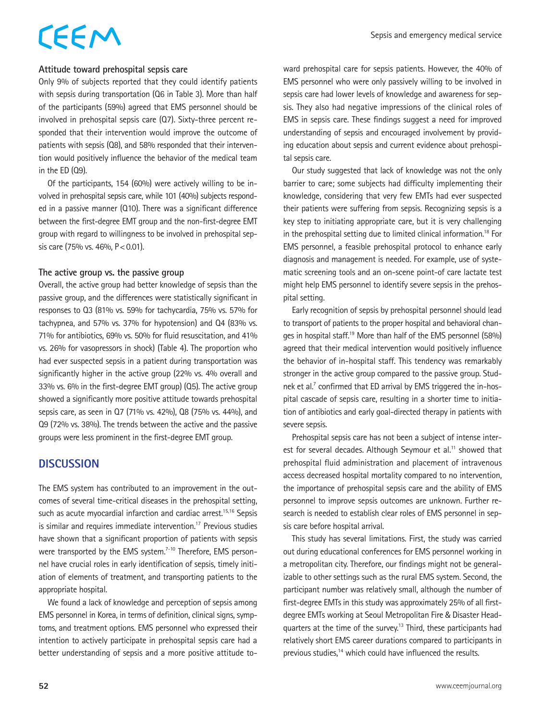# CEEM

### **Attitude toward prehospital sepsis care**

Only 9% of subjects reported that they could identify patients with sepsis during transportation (Q6 in Table 3). More than half of the participants (59%) agreed that EMS personnel should be involved in prehospital sepsis care (Q7). Sixty-three percent responded that their intervention would improve the outcome of patients with sepsis (Q8), and 58% responded that their intervention would positively influence the behavior of the medical team in the ED (Q9).

Of the participants, 154 (60%) were actively willing to be involved in prehospital sepsis care, while 101 (40%) subjects responded in a passive manner (Q10). There was a significant difference between the first-degree EMT group and the non-first-degree EMT group with regard to willingness to be involved in prehospital sepsis care (75% vs. 46%,  $P < 0.01$ ).

### **The active group vs. the passive group**

Overall, the active group had better knowledge of sepsis than the passive group, and the differences were statistically significant in responses to Q3 (81% vs. 59% for tachycardia, 75% vs. 57% for tachypnea, and 57% vs. 37% for hypotension) and Q4 (83% vs. 71% for antibiotics, 69% vs. 50% for fluid resuscitation, and 41% vs. 26% for vasopressors in shock) (Table 4). The proportion who had ever suspected sepsis in a patient during transportation was significantly higher in the active group (22% vs. 4% overall and 33% vs. 6% in the first-degree EMT group) (Q5). The active group showed a significantly more positive attitude towards prehospital sepsis care, as seen in Q7 (71% vs. 42%), Q8 (75% vs. 44%), and Q9 (72% vs. 38%). The trends between the active and the passive groups were less prominent in the first-degree EMT group.

### **DISCUSSION**

The EMS system has contributed to an improvement in the outcomes of several time-critical diseases in the prehospital setting, such as acute myocardial infarction and cardiac arrest.<sup>15,16</sup> Sepsis is similar and requires immediate intervention.<sup>17</sup> Previous studies have shown that a significant proportion of patients with sepsis were transported by the EMS system.<sup>7-10</sup> Therefore, EMS personnel have crucial roles in early identification of sepsis, timely initiation of elements of treatment, and transporting patients to the appropriate hospital.

We found a lack of knowledge and perception of sepsis among EMS personnel in Korea, in terms of definition, clinical signs, symptoms, and treatment options. EMS personnel who expressed their intention to actively participate in prehospital sepsis care had a better understanding of sepsis and a more positive attitude toward prehospital care for sepsis patients. However, the 40% of EMS personnel who were only passively willing to be involved in sepsis care had lower levels of knowledge and awareness for sepsis. They also had negative impressions of the clinical roles of EMS in sepsis care. These findings suggest a need for improved understanding of sepsis and encouraged involvement by providing education about sepsis and current evidence about prehospital sepsis care.

Our study suggested that lack of knowledge was not the only barrier to care; some subjects had difficulty implementing their knowledge, considering that very few EMTs had ever suspected their patients were suffering from sepsis. Recognizing sepsis is a key step to initiating appropriate care, but it is very challenging in the prehospital setting due to limited clinical information.<sup>18</sup> For EMS personnel, a feasible prehospital protocol to enhance early diagnosis and management is needed. For example, use of systematic screening tools and an on-scene point-of care lactate test might help EMS personnel to identify severe sepsis in the prehospital setting.

Early recognition of sepsis by prehospital personnel should lead to transport of patients to the proper hospital and behavioral changes in hospital staff.19 More than half of the EMS personnel (58%) agreed that their medical intervention would positively influence the behavior of in-hospital staff. This tendency was remarkably stronger in the active group compared to the passive group. Studnek et al.<sup>7</sup> confirmed that ED arrival by EMS triggered the in-hospital cascade of sepsis care, resulting in a shorter time to initiation of antibiotics and early goal-directed therapy in patients with severe sepsis.

Prehospital sepsis care has not been a subject of intense interest for several decades. Although Seymour et al.<sup>11</sup> showed that prehospital fluid administration and placement of intravenous access decreased hospital mortality compared to no intervention, the importance of prehospital sepsis care and the ability of EMS personnel to improve sepsis outcomes are unknown. Further research is needed to establish clear roles of EMS personnel in sepsis care before hospital arrival.

This study has several limitations. First, the study was carried out during educational conferences for EMS personnel working in a metropolitan city. Therefore, our findings might not be generalizable to other settings such as the rural EMS system. Second, the participant number was relatively small, although the number of first-degree EMTs in this study was approximately 25% of all firstdegree EMTs working at Seoul Metropolitan Fire & Disaster Headquarters at the time of the survey.<sup>13</sup> Third, these participants had relatively short EMS career durations compared to participants in previous studies,<sup>14</sup> which could have influenced the results.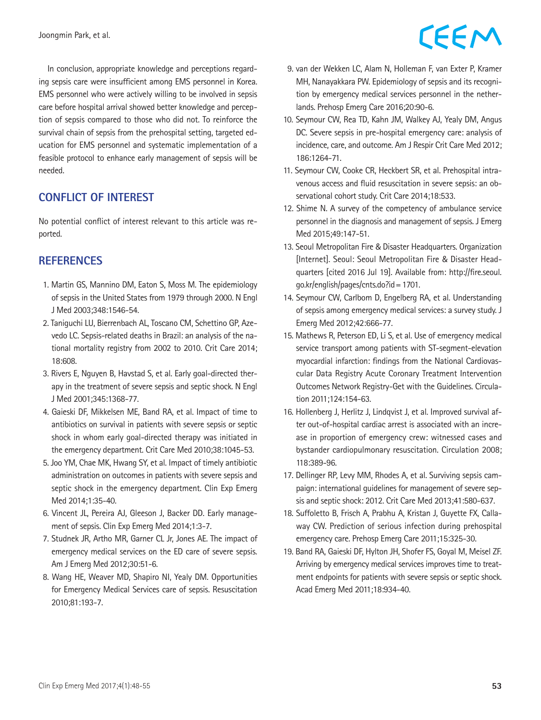In conclusion, appropriate knowledge and perceptions regarding sepsis care were insufficient among EMS personnel in Korea. EMS personnel who were actively willing to be involved in sepsis care before hospital arrival showed better knowledge and perception of sepsis compared to those who did not. To reinforce the survival chain of sepsis from the prehospital setting, targeted education for EMS personnel and systematic implementation of a feasible protocol to enhance early management of sepsis will be needed.

### **CONFLICT OF INTEREST**

No potential conflict of interest relevant to this article was reported.

### **REFERENCES**

- 1. Martin GS, Mannino DM, Eaton S, Moss M. The epidemiology of sepsis in the United States from 1979 through 2000. N Engl J Med 2003;348:1546-54.
- 2. Taniguchi LU, Bierrenbach AL, Toscano CM, Schettino GP, Azevedo LC. Sepsis-related deaths in Brazil: an analysis of the national mortality registry from 2002 to 2010. Crit Care 2014; 18:608.
- 3. Rivers E, Nguyen B, Havstad S, et al. Early goal-directed therapy in the treatment of severe sepsis and septic shock. N Engl J Med 2001;345:1368-77.
- 4. Gaieski DF, Mikkelsen ME, Band RA, et al. Impact of time to antibiotics on survival in patients with severe sepsis or septic shock in whom early goal-directed therapy was initiated in the emergency department. Crit Care Med 2010;38:1045-53.
- 5. Joo YM, Chae MK, Hwang SY, et al. Impact of timely antibiotic administration on outcomes in patients with severe sepsis and septic shock in the emergency department. Clin Exp Emerg Med 2014;1:35-40.
- 6. Vincent JL, Pereira AJ, Gleeson J, Backer DD. Early management of sepsis. Clin Exp Emerg Med 2014;1:3-7.
- 7. Studnek JR, Artho MR, Garner CL Jr, Jones AE. The impact of emergency medical services on the ED care of severe sepsis. Am J Emerg Med 2012;30:51-6.
- 8. Wang HE, Weaver MD, Shapiro NI, Yealy DM. Opportunities for Emergency Medical Services care of sepsis. Resuscitation 2010;81:193-7.

# CEEM

- 9. van der Wekken LC, Alam N, Holleman F, van Exter P, Kramer MH, Nanayakkara PW. Epidemiology of sepsis and its recognition by emergency medical services personnel in the netherlands. Prehosp Emerg Care 2016;20:90-6.
- 10. Seymour CW, Rea TD, Kahn JM, Walkey AJ, Yealy DM, Angus DC. Severe sepsis in pre-hospital emergency care: analysis of incidence, care, and outcome. Am J Respir Crit Care Med 2012; 186:1264-71.
- 11. Seymour CW, Cooke CR, Heckbert SR, et al. Prehospital intravenous access and fluid resuscitation in severe sepsis: an observational cohort study. Crit Care 2014;18:533.
- 12. Shime N. A survey of the competency of ambulance service personnel in the diagnosis and management of sepsis. J Emerg Med 2015;49:147-51.
- 13. Seoul Metropolitan Fire & Disaster Headquarters. Organization [Internet]. Seoul: Seoul Metropolitan Fire & Disaster Headquarters [cited 2016 Jul 19]. Available from: http://fire.seoul. go.kr/english/pages/cnts.do?id=1701.
- 14. Seymour CW, Carlbom D, Engelberg RA, et al. Understanding of sepsis among emergency medical services: a survey study. J Emerg Med 2012;42:666-77.
- 15. Mathews R, Peterson ED, Li S, et al. Use of emergency medical service transport among patients with ST-segment-elevation myocardial infarction: findings from the National Cardiovascular Data Registry Acute Coronary Treatment Intervention Outcomes Network Registry-Get with the Guidelines. Circulation 2011;124:154-63.
- 16. Hollenberg J, Herlitz J, Lindqvist J, et al. Improved survival after out-of-hospital cardiac arrest is associated with an increase in proportion of emergency crew: witnessed cases and bystander cardiopulmonary resuscitation. Circulation 2008; 118:389-96.
- 17. Dellinger RP, Levy MM, Rhodes A, et al. Surviving sepsis campaign: international guidelines for management of severe sepsis and septic shock: 2012. Crit Care Med 2013;41:580-637.
- 18. Suffoletto B, Frisch A, Prabhu A, Kristan J, Guyette FX, Callaway CW. Prediction of serious infection during prehospital emergency care. Prehosp Emerg Care 2011;15:325-30.
- 19. Band RA, Gaieski DF, Hylton JH, Shofer FS, Goyal M, Meisel ZF. Arriving by emergency medical services improves time to treatment endpoints for patients with severe sepsis or septic shock. Acad Emerg Med 2011;18:934-40.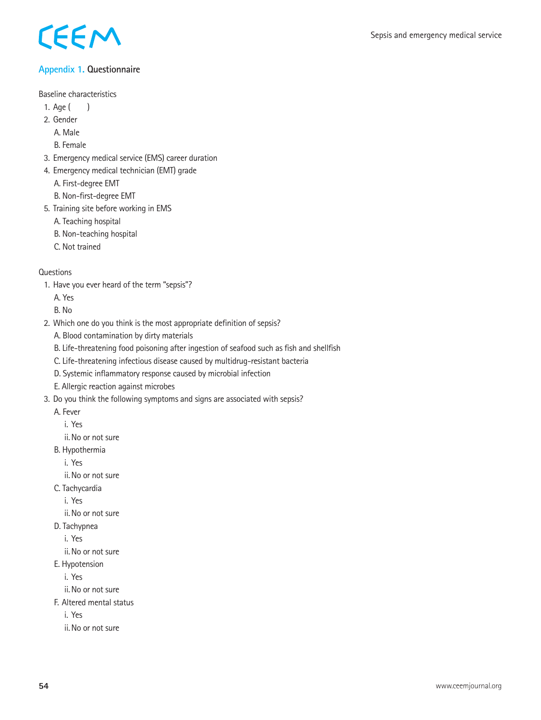

### **Appendix 1. Questionnaire**

Baseline characteristics

- 1. Age ( )
- 2. Gender

A. Male

B. Female

- 3. Emergency medical service (EMS) career duration
- 4. Emergency medical technician (EMT) grade

A. First-degree EMT

B. Non-first-degree EMT

- 5. Training site before working in EMS
	- A. Teaching hospital
	- B. Non-teaching hospital
	- C. Not trained

### **Questions**

1. Have you ever heard of the term "sepsis"?

A. Yes

B. No

- 2. Which one do you think is the most appropriate definition of sepsis?
	- A. Blood contamination by dirty materials
	- B. Life-threatening food poisoning after ingestion of seafood such as fish and shellfish
	- C. Life-threatening infectious disease caused by multidrug-resistant bacteria
	- D. Systemic inflammatory response caused by microbial infection
	- E. Allergic reaction against microbes
- 3. Do you think the following symptoms and signs are associated with sepsis?
	- A. Fever
		- i. Yes
		- ii.No or not sure
	- B. Hypothermia
		- i. Yes
		- ii.No or not sure
	- C. Tachycardia
		- i. Yes

ii.No or not sure

- D. Tachypnea
	- i. Yes
	- ii.No or not sure
- E. Hypotension

i. Yes

- ii.No or not sure
- F. Altered mental status

i. Yes

ii.No or not sure